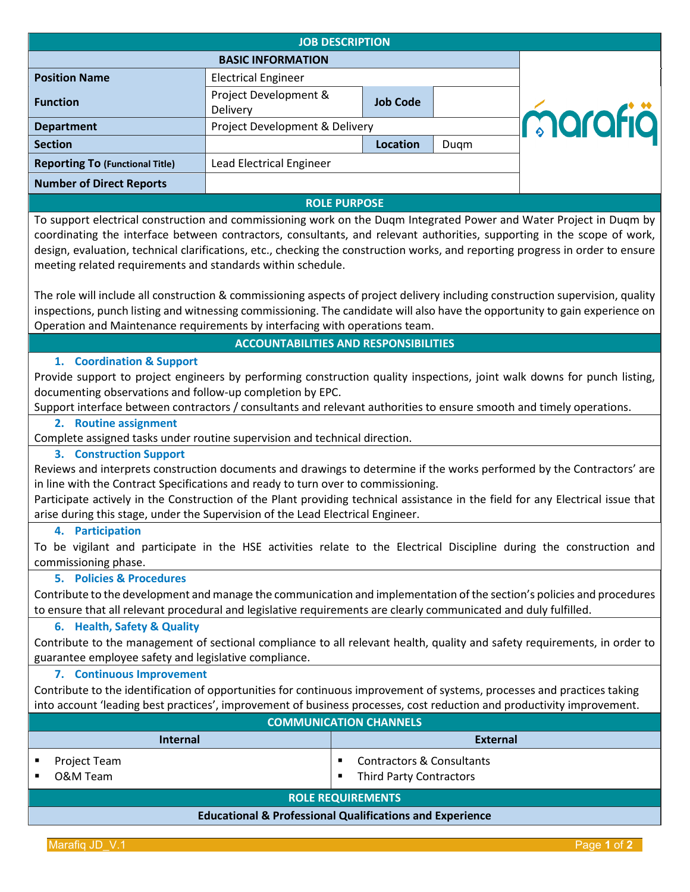| <b>JOB DESCRIPTION</b>                                                                                                                                                                                                                                                                                                                                                                                                                          |                                          |                 |         |  |  |
|-------------------------------------------------------------------------------------------------------------------------------------------------------------------------------------------------------------------------------------------------------------------------------------------------------------------------------------------------------------------------------------------------------------------------------------------------|------------------------------------------|-----------------|---------|--|--|
| <b>BASIC INFORMATION</b>                                                                                                                                                                                                                                                                                                                                                                                                                        |                                          |                 |         |  |  |
| <b>Position Name</b>                                                                                                                                                                                                                                                                                                                                                                                                                            | <b>Electrical Engineer</b>               |                 |         |  |  |
| <b>Function</b>                                                                                                                                                                                                                                                                                                                                                                                                                                 | Project Development &<br><b>Delivery</b> | <b>Job Code</b> |         |  |  |
| <b>Department</b>                                                                                                                                                                                                                                                                                                                                                                                                                               | Project Development & Delivery           |                 | marafia |  |  |
| <b>Section</b>                                                                                                                                                                                                                                                                                                                                                                                                                                  |                                          | Location        | Duqm    |  |  |
| <b>Reporting To (Functional Title)</b>                                                                                                                                                                                                                                                                                                                                                                                                          | Lead Electrical Engineer                 |                 |         |  |  |
| <b>Number of Direct Reports</b>                                                                                                                                                                                                                                                                                                                                                                                                                 |                                          |                 |         |  |  |
| <b>ROLE PURPOSE</b>                                                                                                                                                                                                                                                                                                                                                                                                                             |                                          |                 |         |  |  |
| To support electrical construction and commissioning work on the Duqm Integrated Power and Water Project in Duqm by<br>coordinating the interface between contractors, consultants, and relevant authorities, supporting in the scope of work,<br>design, evaluation, technical clarifications, etc., checking the construction works, and reporting progress in order to ensure<br>meeting related requirements and standards within schedule. |                                          |                 |         |  |  |
| The role will include all construction & commissioning aspects of project delivery including construction supervision, quality<br>inspections, punch listing and witnessing commissioning. The candidate will also have the opportunity to gain experience on<br>Operation and Maintenance requirements by interfacing with operations team.                                                                                                    |                                          |                 |         |  |  |
| <b>ACCOUNTABILITIES AND RESPONSIBILITIES</b>                                                                                                                                                                                                                                                                                                                                                                                                    |                                          |                 |         |  |  |
| 1. Coordination & Support                                                                                                                                                                                                                                                                                                                                                                                                                       |                                          |                 |         |  |  |

Provide support to project engineers by performing construction quality inspections, joint walk downs for punch listing, documenting observations and follow-up completion by EPC.

Support interface between contractors / consultants and relevant authorities to ensure smooth and timely operations.

## **2. Routine assignment**

Complete assigned tasks under routine supervision and technical direction.

# **3. Construction Support**

Reviews and interprets construction documents and drawings to determine if the works performed by the Contractors' are in line with the Contract Specifications and ready to turn over to commissioning.

Participate actively in the Construction of the Plant providing technical assistance in the field for any Electrical issue that arise during this stage, under the Supervision of the Lead Electrical Engineer.

## **4. Participation**

To be vigilant and participate in the HSE activities relate to the Electrical Discipline during the construction and commissioning phase.

## **5. Policies & Procedures**

Contribute to the development and manage the communication and implementation of the section's policies and procedures to ensure that all relevant procedural and legislative requirements are clearly communicated and duly fulfilled.

## **6. Health, Safety & Quality**

Contribute to the management of sectional compliance to all relevant health, quality and safety requirements, in order to guarantee employee safety and legislative compliance.

## **7. Continuous Improvement**

Contribute to the identification of opportunities for continuous improvement of systems, processes and practices taking into account 'leading best practices', improvement of business processes, cost reduction and productivity improvement.

| <b>COMMUNICATION CHANNELS</b>                                       |                          |                                                             |  |  |
|---------------------------------------------------------------------|--------------------------|-------------------------------------------------------------|--|--|
|                                                                     | <b>Internal</b>          | <b>External</b>                                             |  |  |
|                                                                     | Project Team<br>O&M Team | Contractors & Consultants<br><b>Third Party Contractors</b> |  |  |
| <b>ROLE REQUIREMENTS</b>                                            |                          |                                                             |  |  |
| <b>Educational &amp; Professional Qualifications and Experience</b> |                          |                                                             |  |  |